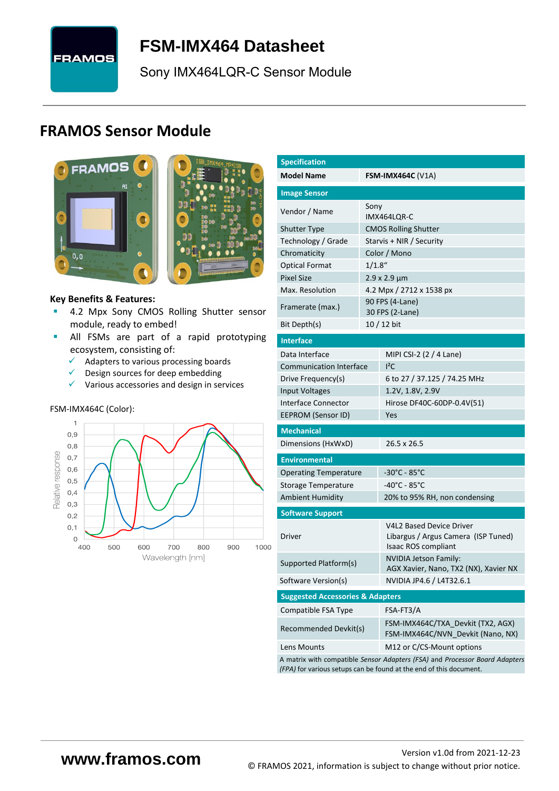

<span id="page-0-7"></span>**FSM-IMX464 [Datasheet](#page-0-0)**

[Sony](#page-0-1) [IMX464LQR-C](#page-0-2) Sensor Module

# **FRAMOS Sensor Module**



<span id="page-0-3"></span><span id="page-0-0"></span>

#### **Key Benefits & Features:**

- **[4.2](#page-0-4) Mpx [Sony](#page-0-1) [CMOS Rolling Shutter](#page-0-5) sensor** module, ready to embed!
- **E** All FSMs are part of a rapid prototyping ecosystem, consisting of:
	- ✓ Adapters to various processing boards
	- ✓ Design sources for deep embedding
	- $\checkmark$  Various accessories and design in services

#### FSM-IMX464C (Color):



<span id="page-0-6"></span><span id="page-0-5"></span><span id="page-0-4"></span><span id="page-0-2"></span><span id="page-0-1"></span>

| <b>Specification</b>                        |           |                                                                                                                                                   |  |  |  |
|---------------------------------------------|-----------|---------------------------------------------------------------------------------------------------------------------------------------------------|--|--|--|
| <b>Model Name</b>                           |           | <b>FSM-IMX464C (V1A)</b>                                                                                                                          |  |  |  |
| <b>Image Sensor</b>                         |           |                                                                                                                                                   |  |  |  |
| Vendor / Name                               | Sony      |                                                                                                                                                   |  |  |  |
|                                             |           | IMX464LQR-C                                                                                                                                       |  |  |  |
| <b>Shutter Type</b><br>Technology / Grade   |           | <b>CMOS Rolling Shutter</b><br>Starvis + NIR / Security                                                                                           |  |  |  |
| Chromaticity                                |           | Color / Mono                                                                                                                                      |  |  |  |
| <b>Optical Format</b>                       | $1/1.8$ " |                                                                                                                                                   |  |  |  |
| <b>Pixel Size</b>                           |           | 2.9 x 2.9 µm                                                                                                                                      |  |  |  |
| Max. Resolution                             |           | 4.2 Mpx / 2712 x 1538 px                                                                                                                          |  |  |  |
| Framerate (max.)                            |           | 90 FPS (4-Lane)                                                                                                                                   |  |  |  |
|                                             |           | 30 FPS (2-Lane)                                                                                                                                   |  |  |  |
| Bit Depth(s)                                |           | 10 / 12 bit                                                                                                                                       |  |  |  |
| <b>Interface</b>                            |           |                                                                                                                                                   |  |  |  |
| Data Interface                              |           | MIPI CSI-2 (2 / 4 Lane)                                                                                                                           |  |  |  |
| <b>Communication Interface</b>              |           | $I^2C$                                                                                                                                            |  |  |  |
| Drive Frequency(s)                          |           | 6 to 27 / 37.125 / 74.25 MHz                                                                                                                      |  |  |  |
| Input Voltages                              |           | 1.2V, 1.8V, 2.9V                                                                                                                                  |  |  |  |
| Interface Connector                         |           | Hirose DF40C-60DP-0.4V(51)                                                                                                                        |  |  |  |
| EEPROM (Sensor ID)                          |           | Yes                                                                                                                                               |  |  |  |
| <b>Mechanical</b>                           |           |                                                                                                                                                   |  |  |  |
| Dimensions (HxWxD)                          |           | 26.5 x 26.5                                                                                                                                       |  |  |  |
| <b>Environmental</b>                        |           |                                                                                                                                                   |  |  |  |
| <b>Operating Temperature</b>                |           | $-30^{\circ}$ C - 85 $^{\circ}$ C                                                                                                                 |  |  |  |
| Storage Temperature                         |           | -40°C - 85°C                                                                                                                                      |  |  |  |
| <b>Ambient Humidity</b>                     |           | 20% to 95% RH, non condensing                                                                                                                     |  |  |  |
| <b>Software Support</b>                     |           |                                                                                                                                                   |  |  |  |
| Driver                                      |           | <b>V4L2 Based Device Driver</b><br>Libargus / Argus Camera (ISP Tuned)<br>Isaac ROS compliant                                                     |  |  |  |
| Supported Platform(s)                       |           | <b>NVIDIA Jetson Family:</b><br>AGX Xavier, Nano, TX2 (NX), Xavier NX                                                                             |  |  |  |
| Software Version(s)                         |           | NVIDIA JP4.6 / L4T32.6.1                                                                                                                          |  |  |  |
| <b>Suggested Accessories &amp; Adapters</b> |           |                                                                                                                                                   |  |  |  |
| Compatible FSA Type                         |           | FSA-FT3/A                                                                                                                                         |  |  |  |
| Recommended Devkit(s)                       |           | FSM-IMX464C/TXA Devkit (TX2, AGX)<br>FSM-IMX464C/NVN_Devkit (Nano, NX)                                                                            |  |  |  |
| Lens Mounts                                 |           | M12 or C/CS-Mount options                                                                                                                         |  |  |  |
|                                             |           | A matrix with compatible Sensor Adapters (FSA) and Processor Board Adapters<br>(FPA) for various setups can be found at the end of this document. |  |  |  |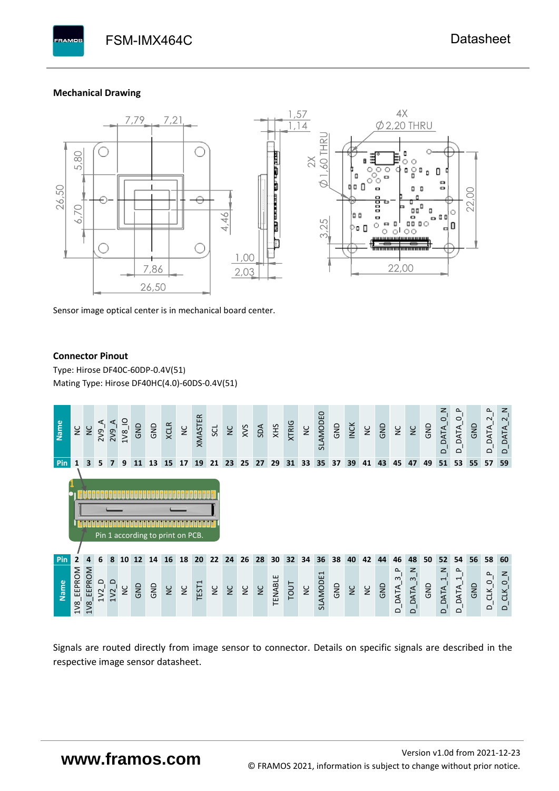#### **Mechanical Drawing**

**PAMOS** 



Sensor image optical center is in mechanical board center.

#### **Connector Pinout**

Type: [Hirose DF40C-60DP-0.4V\(51](#page-0-6)[\)](#page-0-6)  Mating Type: Hirose DF40HC(4.0)-60DS-0.4V(51)



Signals are routed directly from image sensor to connector. Details on specific signals are described in the respective image sensor datasheet.

# **www.framos.com**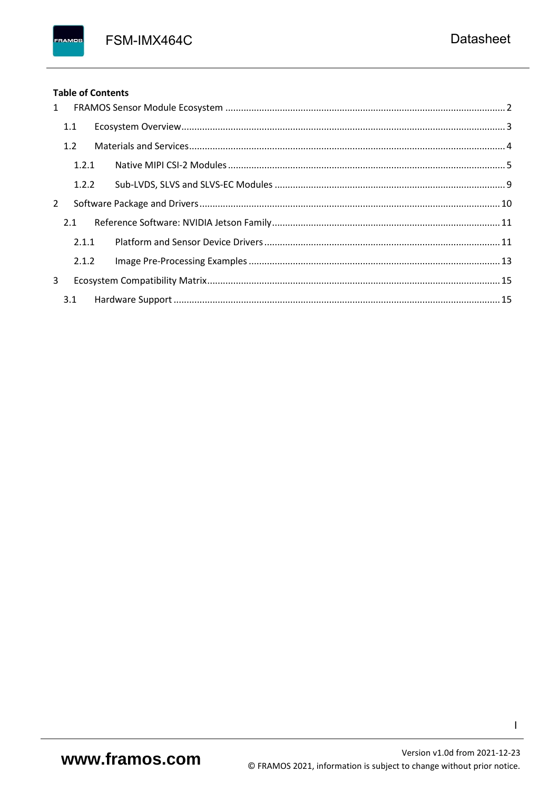FSM-IMX464C

### **Table of Contents**

FRAMOS

| 1              |       |  |
|----------------|-------|--|
|                | 1.1   |  |
|                | 1.2   |  |
|                | 1.2.1 |  |
|                | 1.2.2 |  |
| $\overline{2}$ |       |  |
|                | 2.1   |  |
|                | 2.1.1 |  |
|                | 2.1.2 |  |
| 3              |       |  |
|                | 3.1   |  |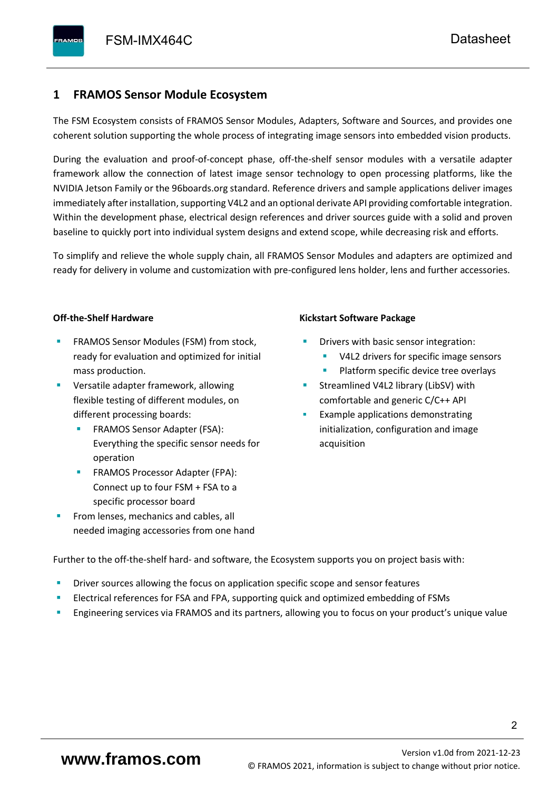# <span id="page-3-0"></span>**1 FRAMOS Sensor Module Ecosystem**

The FSM Ecosystem consists of FRAMOS Sensor Modules, Adapters, Software and Sources, and provides one coherent solution supporting the whole process of integrating image sensors into embedded vision products.

During the evaluation and proof-of-concept phase, off-the-shelf sensor modules with a versatile adapter framework allow the connection of latest image sensor technology to open processing platforms, like the NVIDIA Jetson Family or the 96boards.org standard. Reference drivers and sample applications deliver images immediately after installation, supporting V4L2 and an optional derivate API providing comfortable integration. Within the development phase, electrical design references and driver sources guide with a solid and proven baseline to quickly port into individual system designs and extend scope, while decreasing risk and efforts.

To simplify and relieve the whole supply chain, all FRAMOS Sensor Modules and adapters are optimized and ready for delivery in volume and customization with pre-configured lens holder, lens and further accessories.

#### **Off-the-Shelf Hardware**

- FRAMOS Sensor Modules (FSM) from stock, ready for evaluation and optimized for initial mass production.
- Versatile adapter framework, allowing flexible testing of different modules, on different processing boards:
	- FRAMOS Sensor Adapter (FSA): Everything the specific sensor needs for operation
	- FRAMOS Processor Adapter (FPA): Connect up to four FSM + FSA to a specific processor board
- From lenses, mechanics and cables, all needed imaging accessories from one hand

#### **Kickstart Software Package**

- Drivers with basic sensor integration:
	- V4L2 drivers for specific image sensors
	- Platform specific device tree overlays
- Streamlined V4L2 library (LibSV) with comfortable and generic C/C++ API
- Example applications demonstrating initialization, configuration and image acquisition

Further to the off-the-shelf hard- and software, the Ecosystem supports you on project basis with:

- Driver sources allowing the focus on application specific scope and sensor features
- Electrical references for FSA and FPA, supporting quick and optimized embedding of FSMs
- Engineering services via FRAMOS and its partners, allowing you to focus on your product's unique value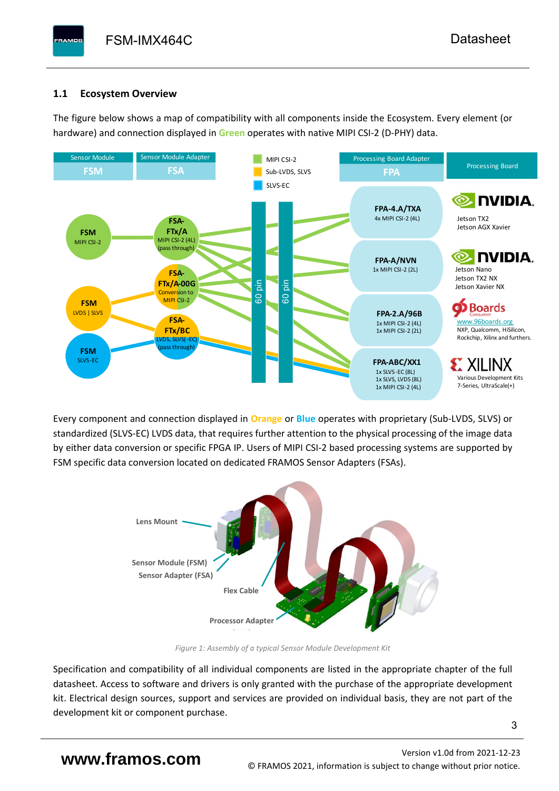## <span id="page-4-0"></span>**1.1 Ecosystem Overview**

**PAMOS** 

The figure below shows a map of compatibility with all components inside the Ecosystem. Every element (or hardware) and connection displayed in **Green** operates with native MIPI CSI-2 (D-PHY) data.



Every component and connection displayed in **Orange** or **Blue** operates with proprietary (Sub-LVDS, SLVS) or standardized (SLVS-EC) LVDS data, that requires further attention to the physical processing of the image data by either data conversion or specific FPGA IP. Users of MIPI CSI-2 based processing systems are supported by FSM specific data conversion located on dedicated FRAMOS Sensor Adapters (FSAs).



*Figure 1: Assembly of a typical Sensor Module Development Kit*

Specification and compatibility of all individual components are listed in the appropriate chapter of the full datasheet. Access to software and drivers is only granted with the purchase of the appropriate development kit. Electrical design sources, support and services are provided on individual basis, they are not part of the development kit or component purchase.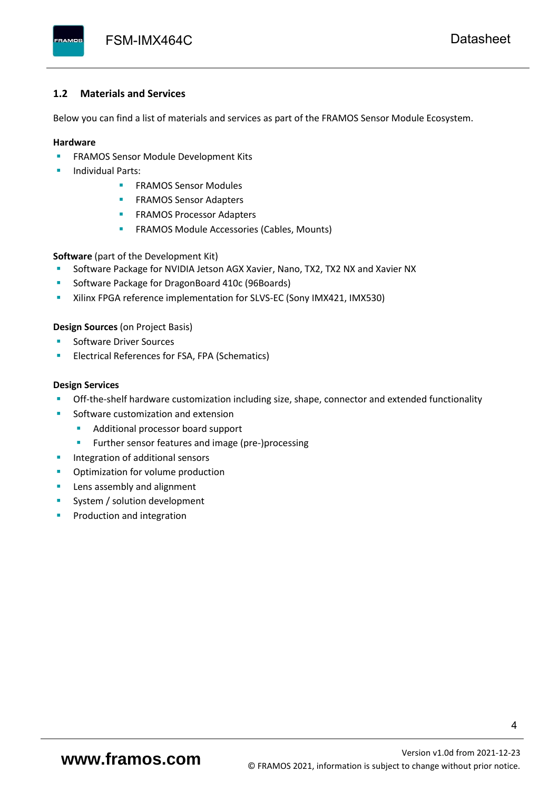#### <span id="page-5-0"></span>**1.2 Materials and Services**

Below you can find a list of materials and services as part of the FRAMOS Sensor Module Ecosystem.

#### **Hardware**

- **EXECTED FRAMOS Sensor Module Development Kits**
- **Individual Parts:** 
	- FRAMOS Sensor Modules
	- **FRAMOS Sensor Adapters**
	- **EXAMOS Processor Adapters**
	- **EXECTED** FRAMOS Module Accessories (Cables, Mounts)

**Software** (part of the Development Kit)

- Software Package for NVIDIA Jetson AGX Xavier, Nano, TX2, TX2 NX and Xavier NX
- Software Package for DragonBoard 410c (96Boards)
- **E** Xilinx FPGA reference implementation for SLVS-EC (Sony IMX421, IMX530)

#### **Design Sources** (on Project Basis)

- Software Driver Sources
- Electrical References for FSA, FPA (Schematics)

#### **Design Services**

- Off-the-shelf hardware customization including size, shape, connector and extended functionality
- Software customization and extension
	- Additional processor board support
	- Further sensor features and image (pre-)processing
- **■** Integration of additional sensors
- Optimization for volume production
- Lens assembly and alignment
- System / solution development
- Production and integration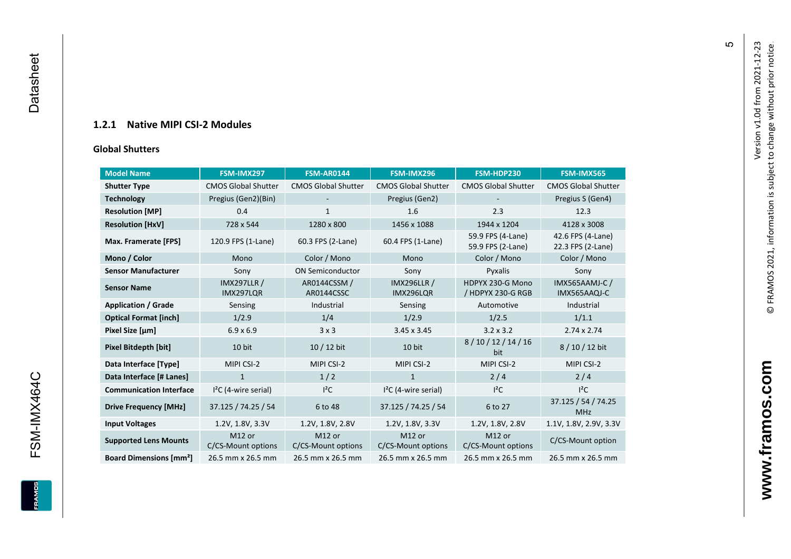### **1.2.1 Native MIPI CSI - 2 Modules**

#### **[Global Shu](#page-0-7)tters**

<span id="page-6-0"></span>

| <b>Model Name</b>                        | FSM-IMX297                      | <b>FSM-AR0144</b>            | FSM-IMX296                      | FSM-HDP230                             | FSM-IMX565                             |
|------------------------------------------|---------------------------------|------------------------------|---------------------------------|----------------------------------------|----------------------------------------|
| <b>Shutter Type</b>                      | <b>CMOS Global Shutter</b>      | <b>CMOS Global Shutter</b>   | <b>CMOS Global Shutter</b>      | <b>CMOS Global Shutter</b>             | <b>CMOS Global Shutter</b>             |
| <b>Technology</b>                        | Pregius (Gen2)(Bin)             |                              | Pregius (Gen2)                  |                                        | Pregius S (Gen4)                       |
| <b>Resolution [MP]</b>                   | 0.4                             | 1                            | 1.6                             | 2.3                                    | 12.3                                   |
| <b>Resolution [HxV]</b>                  | 728 x 544                       | 1280 x 800                   | 1456 x 1088                     | 1944 x 1204                            | 4128 x 3008                            |
| Max. Framerate [FPS]                     | 120.9 FPS (1-Lane)              | 60.3 FPS (2-Lane)            | 60.4 FPS (1-Lane)               | 59.9 FPS (4-Lane)<br>59.9 FPS (2-Lane) | 42.6 FPS (4-Lane)<br>22.3 FPS (2-Lane) |
| Mono / Color                             | Mono                            | Color / Mono                 | Mono                            | Color / Mono                           | Color / Mono                           |
| <b>Sensor Manufacturer</b>               | Sony                            | <b>ON Semiconductor</b>      | Sony                            | Pyxalis                                | Sony                                   |
| <b>Sensor Name</b>                       | <b>IMX297LLR /</b><br>IMX297LQR | AR0144CSSM /<br>AR0144CSSC   | <b>IMX296LLR /</b><br>IMX296LQR | HDPYX 230-G Mono<br>/ HDPYX 230-G RGB  | IMX565AAMJ-C /<br>IMX565AAQJ-C         |
| <b>Application / Grade</b>               | Sensing                         | Industrial                   | Sensing                         | Automotive                             | Industrial                             |
| <b>Optical Format [inch]</b>             | 1/2.9                           | 1/4                          | 1/2.9                           | 1/2.5                                  | 1/1.1                                  |
| Pixel Size [µm]                          | $6.9 \times 6.9$                | 3x3                          | 3.45 x 3.45                     | $3.2 \times 3.2$                       | $2.74 \times 2.74$                     |
| Pixel Bitdepth [bit]                     | 10 bit                          | 10 / 12 bit                  | 10 bit                          | 8/10/12/14/16<br>bit                   | 8/10/12 bit                            |
| Data Interface [Type]                    | MIPI CSI-2                      | MIPI CSI-2                   | MIPI CSI-2                      | MIPI CSI-2                             | MIPI CSI-2                             |
| Data Interface [# Lanes]                 | $\mathbf{1}$                    | 1/2                          | $\mathbf{1}$                    | 2/4                                    | 2/4                                    |
| <b>Communication Interface</b>           | $I2C$ (4-wire serial)           | $l^2C$                       | $I2C$ (4-wire serial)           | $I^2C$                                 | $I^2C$                                 |
| <b>Drive Frequency [MHz]</b>             | 37.125 / 74.25 / 54             | 6 to 48                      | 37.125 / 74.25 / 54             | 6 to 27                                | 37.125 / 54 / 74.25<br><b>MHz</b>      |
| <b>Input Voltages</b>                    | 1.2V, 1.8V, 3.3V                | 1.2V, 1.8V, 2.8V             | 1.2V, 1.8V, 3.3V                | 1.2V, 1.8V, 2.8V                       | 1.1V, 1.8V, 2.9V, 3.3V                 |
| <b>Supported Lens Mounts</b>             | M12 or<br>C/CS-Mount options    | M12 or<br>C/CS-Mount options | M12 or<br>C/CS-Mount options    | M12 or<br>C/CS-Mount options           | C/CS-Mount option                      |
| <b>Board Dimensions [mm<sup>2</sup>]</b> | 26.5 mm x 26.5 mm               | 26.5 mm x 26.5 mm            | 26.5 mm x 26.5 mm               | 26.5 mm x 26.5 mm                      | 26.5 mm x 26.5 mm                      |

 $\mathfrak{g}$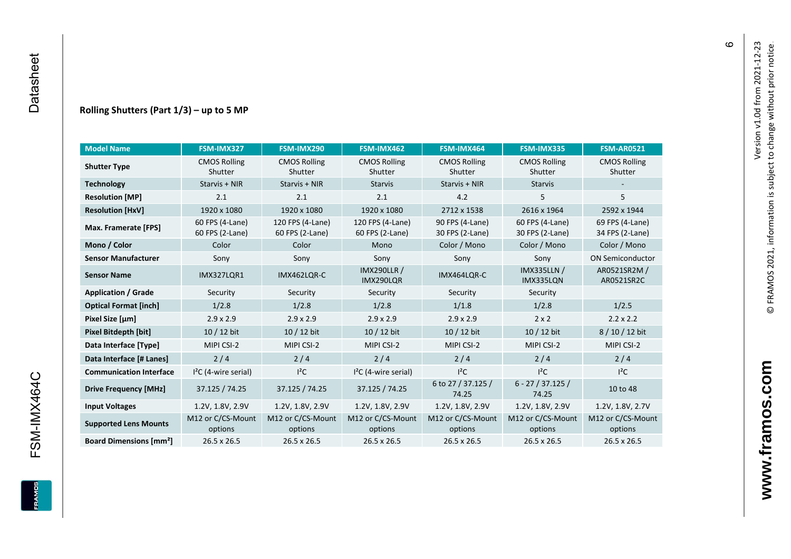#### **Rolling Shutters (Part 1/ 3 ) – up to 5 MP**

| <b>Model Name</b>                        | FSM-IMX327                         | FSM-IMX290                          | FSM-IMX462                                     | FSM-IMX464                         | FSM-IMX335                         | <b>FSM-AR0521</b>                  |
|------------------------------------------|------------------------------------|-------------------------------------|------------------------------------------------|------------------------------------|------------------------------------|------------------------------------|
| <b>Shutter Type</b>                      | <b>CMOS Rolling</b><br>Shutter     | <b>CMOS Rolling</b><br>Shutter      | <b>CMOS Rolling</b><br>Shutter                 | <b>CMOS Rolling</b><br>Shutter     | <b>CMOS Rolling</b><br>Shutter     | <b>CMOS Rolling</b><br>Shutter     |
| <b>Technology</b>                        | Starvis + NIR                      | Starvis + NIR                       | <b>Starvis</b>                                 | Starvis + NIR                      | <b>Starvis</b>                     |                                    |
| <b>Resolution [MP]</b>                   | 2.1                                | 2.1                                 | 2.1                                            | 4.2                                | 5                                  | 5                                  |
| <b>Resolution [HxV]</b>                  | 1920 x 1080                        | 1920 x 1080                         | 1920 x 1080                                    | 2712 x 1538                        | 2616 x 1964                        | 2592 x 1944                        |
| Max. Framerate [FPS]                     | 60 FPS (4-Lane)<br>60 FPS (2-Lane) | 120 FPS (4-Lane)<br>60 FPS (2-Lane) | 120 FPS (4-Lane)<br>60 FPS (2-Lane)            | 90 FPS (4-Lane)<br>30 FPS (2-Lane) | 60 FPS (4-Lane)<br>30 FPS (2-Lane) | 69 FPS (4-Lane)<br>34 FPS (2-Lane) |
| Mono / Color                             | Color                              | Color                               | Mono                                           | Color / Mono                       | Color / Mono                       | Color / Mono                       |
| <b>Sensor Manufacturer</b>               | Sony                               | Sony                                | Sony                                           | Sony                               | Sony                               | <b>ON Semiconductor</b>            |
| <b>Sensor Name</b>                       | <b>IMX327LOR1</b>                  | IMX462LOR-C                         | <b>IMX290LLR /</b><br>IMX464LQR-C<br>IMX290LQR |                                    | <b>IMX335LLN /</b><br>IMX335LQN    | AR0521SR2M /<br>AR0521SR2C         |
| <b>Application / Grade</b>               | Security                           | Security                            | Security                                       | Security                           | Security                           |                                    |
| <b>Optical Format [inch]</b>             | 1/2.8                              | 1/2.8                               | 1/2.8                                          | 1/1.8                              |                                    | 1/2.5                              |
| Pixel Size [µm]                          | $2.9 \times 2.9$                   | $2.9 \times 2.9$                    | $2.9 \times 2.9$<br>$2.9 \times 2.9$           |                                    | $2 \times 2$                       | $2.2 \times 2.2$                   |
| <b>Pixel Bitdepth [bit]</b>              | 10 / 12 bit                        | 10 / 12 bit                         | 10 / 12 bit                                    | 10 / 12 bit                        | 10 / 12 bit                        | 8/10/12 bit                        |
| Data Interface [Type]                    | MIPI CSI-2                         | MIPI CSI-2                          | MIPI CSI-2                                     | MIPI CSI-2                         | MIPI CSI-2                         | MIPI CSI-2                         |
| Data Interface [# Lanes]                 | 2/4                                | 2/4                                 | 2/4                                            | 2/4                                | 2/4                                | 2/4                                |
| <b>Communication Interface</b>           | $I2C$ (4-wire serial)              | $l^2C$                              | $I2C$ (4-wire serial)                          | $I^2C$                             | $l^2C$                             | $l^2C$                             |
| <b>Drive Frequency [MHz]</b>             | 37.125 / 74.25                     | 37.125 / 74.25                      | 37.125 / 74.25                                 | 6 to 27 / 37.125 /<br>74.25        | $6 - 27 / 37.125 /$<br>74.25       | 10 to 48                           |
| <b>Input Voltages</b>                    | 1.2V, 1.8V, 2.9V                   | 1.2V, 1.8V, 2.9V                    | 1.2V, 1.8V, 2.9V                               | 1.2V, 1.8V, 2.9V                   | 1.2V, 1.8V, 2.9V                   | 1.2V, 1.8V, 2.7V                   |
| <b>Supported Lens Mounts</b>             | M12 or C/CS-Mount<br>options       | M12 or C/CS-Mount<br>options        | M12 or C/CS-Mount<br>options                   | M12 or C/CS-Mount<br>options       | M12 or C/CS-Mount<br>options       | M12 or C/CS-Mount<br>options       |
| <b>Board Dimensions [mm<sup>2</sup>]</b> | $26.5 \times 26.5$                 | $26.5 \times 26.5$                  | 26.5 x 26.5                                    | $26.5 \times 26.5$                 | 26.5 x 26.5                        | 26.5 x 26.5                        |

 $\circ$ 

**www.framos.com**

www.framos.com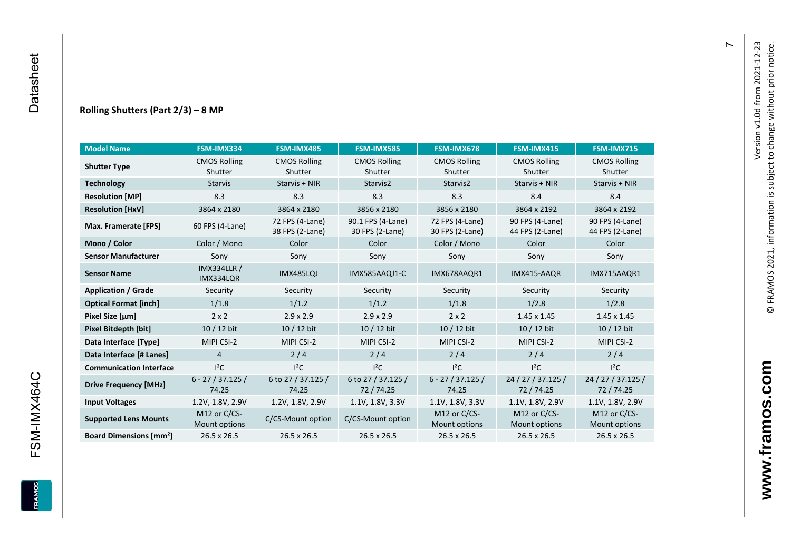#### **Rolling Shutters (Part 2/ 3 ) – 8 MP**

| <b>Model Name</b>                        | FSM-IMX334                      | FSM-IMX485                         | <b>FSM-IMX585</b>                    | FSM-IMX678                         | FSM-IMX415                         | FSM-IMX715                         |
|------------------------------------------|---------------------------------|------------------------------------|--------------------------------------|------------------------------------|------------------------------------|------------------------------------|
| <b>Shutter Type</b>                      | <b>CMOS Rolling</b><br>Shutter  | <b>CMOS Rolling</b><br>Shutter     | <b>CMOS Rolling</b><br>Shutter       | <b>CMOS Rolling</b><br>Shutter     | <b>CMOS Rolling</b><br>Shutter     | <b>CMOS Rolling</b><br>Shutter     |
| <b>Technology</b>                        | <b>Starvis</b>                  | Starvis + NIR                      | Starvis2                             | Starvis2                           | Starvis + NIR                      | Starvis + NIR                      |
| <b>Resolution [MP]</b>                   | 8.3                             | 8.3                                | 8.3                                  | 8.3                                | 8.4                                | 8.4                                |
| <b>Resolution [HxV]</b>                  | 3864 x 2180                     | 3864 x 2180                        | 3856 x 2180                          | 3856 x 2180                        | 3864 x 2192                        | 3864 x 2192                        |
| Max. Framerate [FPS]                     | 60 FPS (4-Lane)                 | 72 FPS (4-Lane)<br>38 FPS (2-Lane) | 90.1 FPS (4-Lane)<br>30 FPS (2-Lane) | 72 FPS (4-Lane)<br>30 FPS (2-Lane) | 90 FPS (4-Lane)<br>44 FPS (2-Lane) | 90 FPS (4-Lane)<br>44 FPS (2-Lane) |
| Mono / Color                             | Color / Mono                    | Color                              | Color                                | Color / Mono                       | Color                              | Color                              |
| <b>Sensor Manufacturer</b>               | Sony                            | Sony                               | Sony                                 | Sony                               | Sony                               | Sony                               |
| <b>Sensor Name</b>                       | <b>IMX334LLR /</b><br>IMX334LQR | IMX485LQJ                          | IMX585AAQJ1-C<br>IMX678AAQR1         |                                    | IMX415-AAQR                        | IMX715AAQR1                        |
| <b>Application / Grade</b>               | Security                        | Security                           | Security                             | Security                           | Security                           | Security                           |
| <b>Optical Format [inch]</b>             | 1/1.8                           | 1/1.2                              | 1/1.2<br>1/1.8                       |                                    | 1/2.8                              | 1/2.8                              |
| Pixel Size [µm]                          | $2 \times 2$                    | $2.9 \times 2.9$                   | $2.9 \times 2.9$<br>$2 \times 2$     |                                    | $1.45 \times 1.45$                 | $1.45 \times 1.45$                 |
| <b>Pixel Bitdepth [bit]</b>              | 10 / 12 bit                     | 10 / 12 bit                        | 10 / 12 bit                          | 10 / 12 bit                        | 10 / 12 bit                        | 10 / 12 bit                        |
| Data Interface [Type]                    | MIPI CSI-2                      | MIPI CSI-2                         | MIPI CSI-2                           | MIPI CSI-2                         | MIPI CSI-2                         | MIPI CSI-2                         |
| Data Interface [# Lanes]                 | $\overline{4}$                  | 2/4                                | 2/4                                  | 2/4                                | 2/4                                | 2/4                                |
| <b>Communication Interface</b>           | $I^2C$                          | $I^2C$                             | $l^2C$                               | $I^2C$                             | $l^2C$                             | $l^2C$                             |
| <b>Drive Frequency [MHz]</b>             | $6 - 27 / 37.125 /$<br>74.25    | 6 to 27 / 37.125 /<br>74.25        | 6 to 27 / 37.125 /<br>72/74.25       | $6 - 27 / 37.125 /$<br>74.25       | 24 / 27 / 37.125 /<br>72 / 74.25   | 24 / 27 / 37.125 /<br>72 / 74.25   |
| <b>Input Voltages</b>                    | 1.2V, 1.8V, 2.9V                | 1.2V, 1.8V, 2.9V                   | 1.1V, 1.8V, 3.3V                     | 1.1V, 1.8V, 3.3V                   | 1.1V, 1.8V, 2.9V                   | 1.1V, 1.8V, 2.9V                   |
| <b>Supported Lens Mounts</b>             | M12 or C/CS-<br>Mount options   | C/CS-Mount option                  | C/CS-Mount option                    | M12 or C/CS-<br>Mount options      | M12 or C/CS-<br>Mount options      | M12 or C/CS-<br>Mount options      |
| <b>Board Dimensions [mm<sup>2</sup>]</b> | 26.5 x 26.5                     | 26.5 x 26.5                        | 26.5 x 26.5                          | 26.5 x 26.5                        | 26.5 x 26.5                        | 26.5 x 26.5                        |

 $\overline{r}$ 

FSM-IMX464C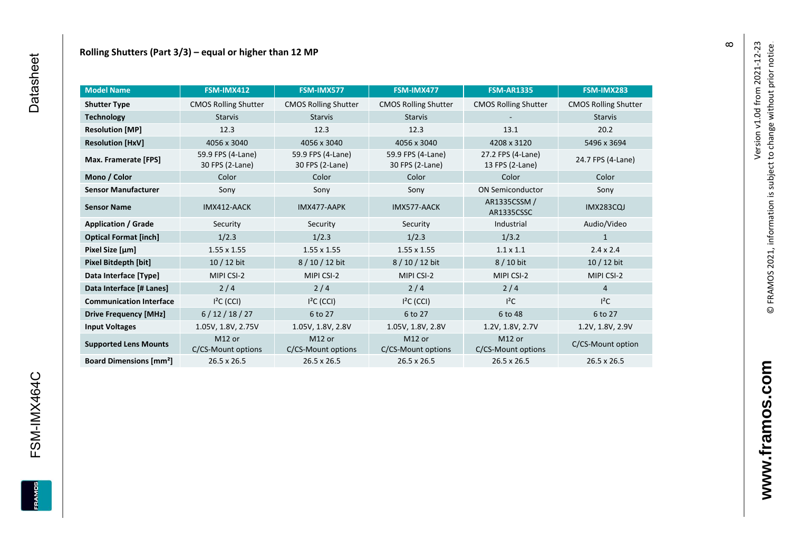| <b>Model Name</b>                        | FSM-IMX412                               | FSM-IMX577                               | FSM-IMX477                               | <b>FSM-AR1335</b>                    | FSM-IMX283                  |
|------------------------------------------|------------------------------------------|------------------------------------------|------------------------------------------|--------------------------------------|-----------------------------|
| <b>Shutter Type</b>                      | <b>CMOS Rolling Shutter</b>              | <b>CMOS Rolling Shutter</b>              | <b>CMOS Rolling Shutter</b>              | <b>CMOS Rolling Shutter</b>          | <b>CMOS Rolling Shutter</b> |
| <b>Technology</b>                        | <b>Starvis</b><br><b>Starvis</b>         |                                          | <b>Starvis</b>                           |                                      | <b>Starvis</b>              |
| <b>Resolution [MP]</b>                   | 12.3                                     | 12.3                                     | 12.3                                     | 13.1                                 | 20.2                        |
| <b>Resolution [HxV]</b>                  | 4056 x 3040                              | 4056 x 3040                              | 4056 x 3040                              | 4208 x 3120                          | 5496 x 3694                 |
| Max. Framerate [FPS]                     | 59.9 FPS (4-Lane)<br>30 FPS (2-Lane)     | 59.9 FPS (4-Lane)<br>30 FPS (2-Lane)     | 59.9 FPS (4-Lane)<br>30 FPS (2-Lane)     | 27.2 FPS (4-Lane)<br>13 FPS (2-Lane) | 24.7 FPS (4-Lane)           |
| Mono / Color                             | Color                                    | Color                                    | Color                                    | Color                                | Color                       |
| <b>Sensor Manufacturer</b>               | Sony                                     | Sony                                     | Sony                                     | <b>ON Semiconductor</b>              | Sony                        |
| <b>Sensor Name</b>                       | IMX412-AACK                              | IMX477-AAPK                              | IMX577-AACK                              | AR1335CSSM /<br>AR1335CSSC           | <b>IMX283CQJ</b>            |
| <b>Application / Grade</b>               | Security                                 | Security                                 | Security                                 | Industrial                           | Audio/Video                 |
| <b>Optical Format [inch]</b>             | 1/2.3                                    | 1/2.3                                    | 1/2.3                                    | 1/3.2                                | $\mathbf{1}$                |
| Pixel Size [µm]                          | $1.55 \times 1.55$                       | $1.55 \times 1.55$                       | $1.55 \times 1.55$                       | $1.1 \times 1.1$                     | $2.4 \times 2.4$            |
| Pixel Bitdepth [bit]                     | $10/12$ bit                              | 8/10/12 bit                              | 8 / 10 / 12 bit                          | 8 / 10 bit                           | 10 / 12 bit                 |
| Data Interface [Type]                    | MIPI CSI-2                               | MIPI CSI-2                               | MIPI CSI-2                               | MIPI CSI-2                           | MIPI CSI-2                  |
| Data Interface [# Lanes]                 | 2/4                                      | 2/4                                      | 2/4                                      | 2/4                                  | $\overline{4}$              |
| <b>Communication Interface</b>           | $I2C$ (CCI)                              | $I2C$ (CCI)                              | $I2C$ (CCI)                              | $l^2C$                               | $l^2C$                      |
| <b>Drive Frequency [MHz]</b>             | 6/12/18/27                               | 6 to 27                                  | 6 to 27                                  | 6 to 48                              | 6 to 27                     |
| <b>Input Voltages</b>                    | 1.05V, 1.8V, 2.75V                       | 1.05V, 1.8V, 2.8V                        | 1.05V, 1.8V, 2.8V                        | 1.2V, 1.8V, 2.7V                     | 1.2V, 1.8V, 2.9V            |
| <b>Supported Lens Mounts</b>             | M <sub>12</sub> or<br>C/CS-Mount options | M <sub>12</sub> or<br>C/CS-Mount options | M <sub>12</sub> or<br>C/CS-Mount options | M12 or<br>C/CS-Mount options         | C/CS-Mount option           |
| <b>Board Dimensions [mm<sup>2</sup>]</b> | 26.5 x 26.5                              | 26.5 x 26.5                              | 26.5 x 26.5                              | 26.5 x 26.5                          | 26.5 x 26.5                 |

FRAMOS

 $\infty$ 

www.framos.com **www.framos.com**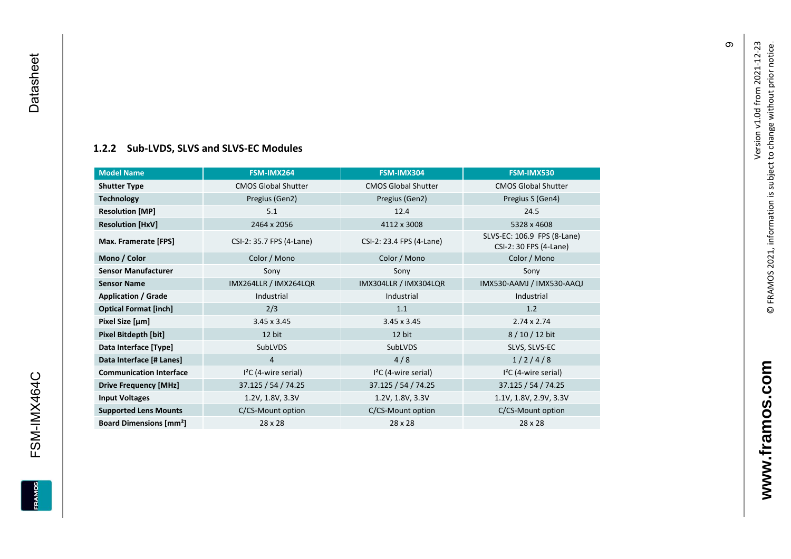#### **[1.2.2](#page-0-7) Sub -LVDS, SLVS and SLVS -EC Modules**

<span id="page-10-0"></span>

| <b>Model Name</b>                        | FSM-IMX264                 | FSM-IMX304                 | FSM-IMX530                                            |
|------------------------------------------|----------------------------|----------------------------|-------------------------------------------------------|
| <b>Shutter Type</b>                      | <b>CMOS Global Shutter</b> | <b>CMOS Global Shutter</b> | <b>CMOS Global Shutter</b>                            |
| <b>Technology</b>                        | Pregius (Gen2)             | Pregius (Gen2)             | Pregius S (Gen4)                                      |
| <b>Resolution [MP]</b>                   | 5.1                        | 12.4                       | 24.5                                                  |
| <b>Resolution [HxV]</b>                  | 2464 x 2056                | 4112 x 3008                | 5328 x 4608                                           |
| Max. Framerate [FPS]                     | CSI-2: 35.7 FPS (4-Lane)   | CSI-2: 23.4 FPS (4-Lane)   | SLVS-EC: 106.9 FPS (8-Lane)<br>CSI-2: 30 FPS (4-Lane) |
| Mono / Color                             | Color / Mono               | Color / Mono               | Color / Mono                                          |
| <b>Sensor Manufacturer</b>               | Sony                       | Sony                       | Sony                                                  |
| <b>Sensor Name</b>                       | IMX264LLR / IMX264LQR      | IMX304LLR / IMX304LQR      | IMX530-AAMJ / IMX530-AAQJ                             |
| <b>Application / Grade</b>               | Industrial                 | Industrial                 | Industrial                                            |
| <b>Optical Format [inch]</b>             | 2/3                        | 1.1                        | 1.2                                                   |
| Pixel Size [µm]                          | $3.45 \times 3.45$         | $3.45 \times 3.45$         | $2.74 \times 2.74$                                    |
| Pixel Bitdepth [bit]                     | 12 bit                     | 12 bit                     | 8/10/12 bit                                           |
| Data Interface [Type]                    | SubLVDS                    | SubLVDS                    | SLVS, SLVS-EC                                         |
| Data Interface [# Lanes]                 | 4                          | 4/8                        | 1/2/4/8                                               |
| <b>Communication Interface</b>           | $I2C$ (4-wire serial)      | $I2C$ (4-wire serial)      | $I2C$ (4-wire serial)                                 |
| <b>Drive Frequency [MHz]</b>             | 37.125 / 54 / 74.25        | 37.125 / 54 / 74.25        | 37.125 / 54 / 74.25                                   |
| <b>Input Voltages</b>                    | 1.2V, 1.8V, 3.3V           | 1.2V, 1.8V, 3.3V           | 1.1V, 1.8V, 2.9V, 3.3V                                |
| <b>Supported Lens Mounts</b>             | C/CS-Mount option          | C/CS-Mount option          | C/CS-Mount option                                     |
| <b>Board Dimensions [mm<sup>2</sup>]</b> | 28 x 28                    | 28 x 28                    | 28 x 28                                               |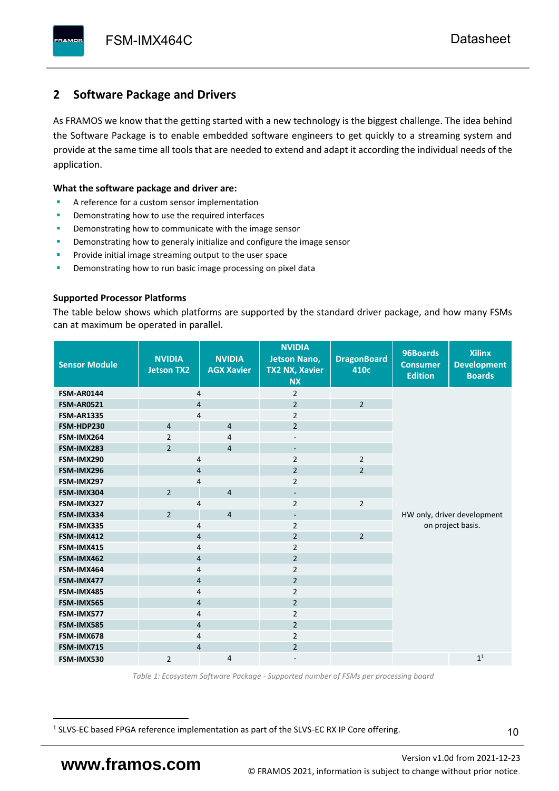# <span id="page-11-0"></span>**2 Software Package and Drivers**

As FRAMOS we know that the getting started with a new technology is the biggest challenge. The idea behind the Software Package is to enable embedded software engineers to get quickly to a streaming system and provide at the same time all tools that are needed to extend and adapt it according the individual needs of the application.

#### **What the software package and driver are:**

- A reference for a custom sensor implementation
- Demonstrating how to use the required interfaces
- Demonstrating how to communicate with the image sensor
- Demonstrating how to generaly initialize and configure the image sensor
- Provide initial image streaming output to the user space
- Demonstrating how to run basic image processing on pixel data

#### **Supported Processor Platforms**

The table below shows which platforms are supported by the standard driver package, and how many FSMs can at maximum be operated in parallel.

| <b>Sensor Module</b> | <b>NVIDIA</b><br><b>Jetson TX2</b> | <b>NVIDIA</b><br><b>AGX Xavier</b> | <b>NVIDIA</b><br><b>Jetson Nano,</b><br><b>TX2 NX, Xavier</b><br><b>NX</b> | <b>DragonBoard</b><br>410c | 96Boards<br><b>Consumer</b><br><b>Edition</b> | <b>Xilinx</b><br><b>Development</b><br><b>Boards</b> |
|----------------------|------------------------------------|------------------------------------|----------------------------------------------------------------------------|----------------------------|-----------------------------------------------|------------------------------------------------------|
| <b>FSM-AR0144</b>    | $\overline{4}$                     |                                    | $\overline{2}$                                                             |                            |                                               |                                                      |
| <b>FSM-AR0521</b>    | $\overline{4}$                     |                                    | $\overline{2}$                                                             | $\overline{2}$             |                                               |                                                      |
| <b>FSM-AR1335</b>    | 4                                  |                                    | $\overline{2}$                                                             |                            |                                               |                                                      |
| FSM-HDP230           | $\overline{4}$                     | $\overline{4}$                     | $\overline{2}$                                                             |                            |                                               |                                                      |
| FSM-IMX264           | $\overline{2}$                     | $\overline{4}$                     | $\overline{\phantom{a}}$                                                   |                            |                                               |                                                      |
| FSM-IMX283           | $\overline{2}$                     | $\overline{4}$                     | $\overline{\phantom{a}}$                                                   |                            |                                               |                                                      |
| FSM-IMX290           | 4                                  |                                    | $\overline{2}$                                                             | $\overline{2}$             |                                               |                                                      |
| FSM-IMX296           | 4                                  |                                    | $\overline{2}$                                                             | $\overline{2}$             |                                               |                                                      |
| FSM-IMX297           | 4                                  |                                    | $\overline{2}$                                                             |                            |                                               |                                                      |
| FSM-IMX304           | $\overline{2}$                     | $\overline{4}$                     | $\overline{\phantom{a}}$                                                   |                            |                                               |                                                      |
| FSM-IMX327           | 4                                  |                                    | $\overline{2}$                                                             | $\overline{2}$             |                                               |                                                      |
| FSM-IMX334           | $\overline{2}$                     | $\overline{4}$                     | $\overline{\phantom{0}}$                                                   |                            |                                               | HW only, driver development                          |
| FSM-IMX335           | 4                                  |                                    | $\overline{2}$                                                             |                            |                                               | on project basis.                                    |
| FSM-IMX412           | $\overline{4}$                     |                                    | $\overline{2}$                                                             | $\overline{2}$             |                                               |                                                      |
| FSM-IMX415           | $\overline{4}$                     |                                    | $\overline{2}$                                                             |                            |                                               |                                                      |
| FSM-IMX462           | $\overline{4}$                     |                                    | $\overline{2}$                                                             |                            |                                               |                                                      |
| FSM-IMX464           | 4                                  |                                    | $\overline{2}$                                                             |                            |                                               |                                                      |
| FSM-IMX477           | 4                                  |                                    | $\overline{2}$                                                             |                            |                                               |                                                      |
| FSM-IMX485           | 4                                  |                                    | $\overline{2}$                                                             |                            |                                               |                                                      |
| FSM-IMX565           | $\overline{4}$                     |                                    | $\overline{2}$                                                             |                            |                                               |                                                      |
| FSM-IMX577           | $\overline{4}$                     |                                    | $\overline{2}$                                                             |                            |                                               |                                                      |
| FSM-IMX585           | $\overline{4}$                     |                                    | $\overline{2}$                                                             |                            |                                               |                                                      |
| FSM-IMX678           | 4                                  |                                    | $\overline{2}$                                                             |                            |                                               |                                                      |
| FSM-IMX715           | $\overline{4}$                     |                                    | $\overline{2}$                                                             |                            |                                               |                                                      |
| FSM-IMX530           | $\overline{2}$                     | $\overline{4}$                     |                                                                            |                            |                                               | 1 <sup>1</sup>                                       |

*Table 1: Ecosystem Software Package - Supported number of FSMs per processing board*

<sup>1</sup> SLVS-EC based FPGA reference implementation as part of the SLVS-EC RX IP Core offering.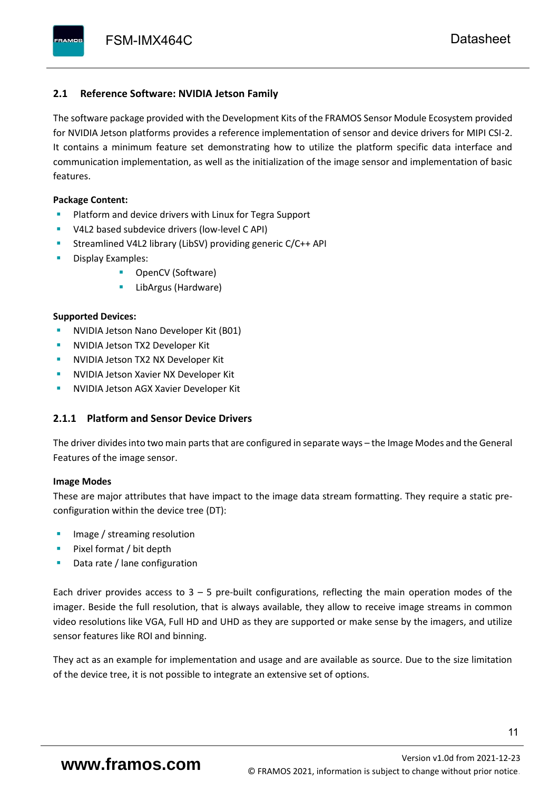#### <span id="page-12-0"></span>**2.1 Reference Software: NVIDIA Jetson Family**

The software package provided with the Development Kits of the FRAMOS Sensor Module Ecosystem provided for NVIDIA Jetson platforms provides a reference implementation of sensor and device drivers for MIPI CSI-2. It contains a minimum feature set demonstrating how to utilize the platform specific data interface and communication implementation, as well as the initialization of the image sensor and implementation of basic features.

#### **Package Content:**

- Platform and device drivers with Linux for Tegra Support
- V4L2 based subdevice drivers (low-level C API)
- Streamlined V4L2 library (LibSV) providing generic C/C++ API
- Display Examples:
	- OpenCV (Software)
	- LibArgus (Hardware)

#### **Supported Devices:**

- **NVIDIA Jetson Nano Developer Kit (B01)**
- **NVIDIA Jetson TX2 Developer Kit**
- NVIDIA Jetson TX2 NX Developer Kit
- **NVIDIA Jetson Xavier NX Developer Kit**
- **NVIDIA Jetson AGX Xavier Developer Kit**

### <span id="page-12-1"></span>**2.1.1 Platform and Sensor Device Drivers**

The driver divides into two main parts that are configured in separate ways – the Image Modes and the General Features of the image sensor.

#### **Image Modes**

These are major attributes that have impact to the image data stream formatting. They require a static preconfiguration within the device tree (DT):

- Image / streaming resolution
- Pixel format / bit depth
- Data rate / lane configuration

Each driver provides access to  $3 - 5$  pre-built configurations, reflecting the main operation modes of the imager. Beside the full resolution, that is always available, they allow to receive image streams in common video resolutions like VGA, Full HD and UHD as they are supported or make sense by the imagers, and utilize sensor features like ROI and binning.

They act as an example for implementation and usage and are available as source. Due to the size limitation of the device tree, it is not possible to integrate an extensive set of options.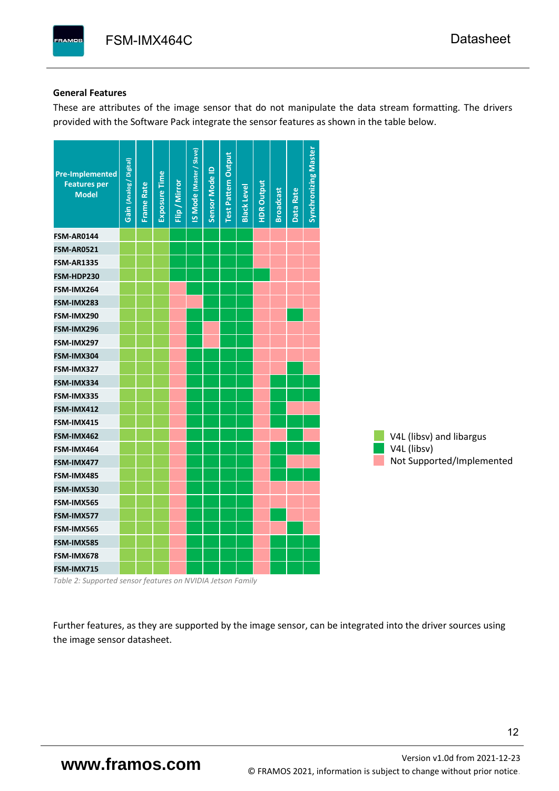#### **General Features**

These are attributes of the image sensor that do not manipulate the data stream formatting. The drivers provided with the Software Pack integrate the sensor features as shown in the table below.

| <b>Pre-Implemented</b><br><b>Features per</b><br><b>Model</b> | Gain (Analog / Digital) | <b>Frame Rate</b> | Exposure Time | Flip / Mirror | <b>IS Mode (Master / Slave)</b> | Sensor Mode ID | <b>Test Pattern Output</b> | <b>Black Level</b> | <b>HDR Output</b> | <b>Broadcast</b> | Data Rate | <b>Synchronizing Master</b> |                           |
|---------------------------------------------------------------|-------------------------|-------------------|---------------|---------------|---------------------------------|----------------|----------------------------|--------------------|-------------------|------------------|-----------|-----------------------------|---------------------------|
| <b>FSM-AR0144</b>                                             |                         |                   |               |               |                                 |                |                            |                    |                   |                  |           |                             |                           |
| <b>FSM-AR0521</b>                                             |                         |                   |               |               |                                 |                |                            |                    |                   |                  |           |                             |                           |
| <b>FSM-AR1335</b>                                             |                         |                   |               |               |                                 |                |                            |                    |                   |                  |           |                             |                           |
| FSM-HDP230                                                    |                         |                   |               |               |                                 |                |                            |                    |                   |                  |           |                             |                           |
| FSM-IMX264                                                    |                         |                   |               |               |                                 |                |                            |                    |                   |                  |           |                             |                           |
| FSM-IMX283                                                    |                         |                   |               |               |                                 |                |                            |                    |                   |                  |           |                             |                           |
| FSM-IMX290                                                    |                         |                   |               |               |                                 |                |                            |                    |                   |                  |           |                             |                           |
| FSM-IMX296                                                    |                         |                   |               |               |                                 |                |                            |                    |                   |                  |           |                             |                           |
| FSM-IMX297                                                    |                         |                   |               |               |                                 |                |                            |                    |                   |                  |           |                             |                           |
| FSM-IMX304                                                    |                         |                   |               |               |                                 |                |                            |                    |                   |                  |           |                             |                           |
| FSM-IMX327                                                    |                         |                   |               |               |                                 |                |                            |                    |                   |                  |           |                             |                           |
| FSM-IMX334                                                    |                         |                   |               |               |                                 |                |                            |                    |                   |                  |           |                             |                           |
| FSM-IMX335                                                    |                         |                   |               |               |                                 |                |                            |                    |                   |                  |           |                             |                           |
| FSM-IMX412                                                    |                         |                   |               |               |                                 |                |                            |                    |                   |                  |           |                             |                           |
| FSM-IMX415                                                    |                         |                   |               |               |                                 |                |                            |                    |                   |                  |           |                             |                           |
| FSM-IMX462                                                    |                         |                   |               |               |                                 |                |                            |                    |                   |                  |           |                             | V4L (libsv) and libargus  |
| FSM-IMX464                                                    |                         |                   |               |               |                                 |                |                            |                    |                   |                  |           |                             | V4L (libsv)               |
| FSM-IMX477                                                    |                         |                   |               |               |                                 |                |                            |                    |                   |                  |           |                             | Not Supported/Implemented |
| FSM-IMX485                                                    |                         |                   |               |               |                                 |                |                            |                    |                   |                  |           |                             |                           |
| FSM-IMX530                                                    |                         |                   |               |               |                                 |                |                            |                    |                   |                  |           |                             |                           |
| FSM-IMX565                                                    |                         |                   |               |               |                                 |                |                            |                    |                   |                  |           |                             |                           |
| FSM-IMX577                                                    |                         |                   |               |               |                                 |                |                            |                    |                   |                  |           |                             |                           |
| FSM-IMX565                                                    |                         |                   |               |               |                                 |                |                            |                    |                   |                  |           |                             |                           |
| FSM-IMX585                                                    |                         |                   |               |               |                                 |                |                            |                    |                   |                  |           |                             |                           |
| FSM-IMX678                                                    |                         |                   |               |               |                                 |                |                            |                    |                   |                  |           |                             |                           |
| FSM-IMX715                                                    |                         |                   |               |               |                                 |                |                            |                    |                   |                  |           |                             |                           |

*Table 2: Supported sensor features on NVIDIA Jetson Family*

Further features, as they are supported by the image sensor, can be integrated into the driver sources using the image sensor datasheet.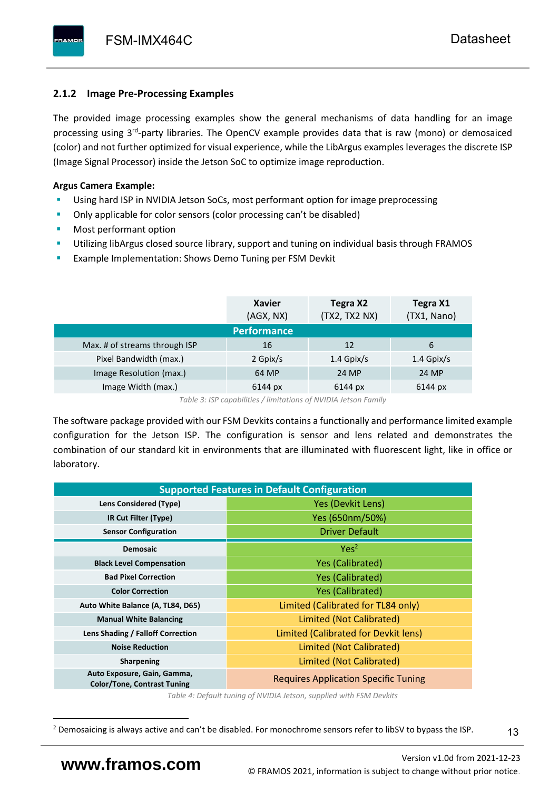# <span id="page-14-0"></span>**2.1.2 Image Pre-Processing Examples**

The provided image processing examples show the general mechanisms of data handling for an image processing using 3<sup>rd</sup>-party libraries. The OpenCV example provides data that is raw (mono) or demosaiced (color) and not further optimized for visual experience, while the LibArgus examples leverages the discrete ISP (Image Signal Processor) inside the Jetson SoC to optimize image reproduction.

# **Argus Camera Example:**

- Using hard ISP in NVIDIA Jetson SoCs, most performant option for image preprocessing
- Only applicable for color sensors (color processing can't be disabled)
- Most performant option
- Utilizing libArgus closed source library, support and tuning on individual basis through FRAMOS
- Example Implementation: Shows Demo Tuning per FSM Devkit

|                               | <b>Xavier</b><br>(AGX, NX) | Tegra X2<br>(TX2, TX2 NX) | Tegra X1<br>(TX1, Nano) |
|-------------------------------|----------------------------|---------------------------|-------------------------|
|                               | <b>Performance</b>         |                           |                         |
| Max. # of streams through ISP | 16                         | 12                        | 6                       |
| Pixel Bandwidth (max.)        | 2 Gpix/s                   | $1.4$ Gpix/s              | $1.4$ Gpix/s            |
| Image Resolution (max.)       | 64 MP                      | 24 MP                     | 24 MP                   |
| Image Width (max.)            | 6144 px                    | 6144 px                   | 6144 px                 |

*Table 3: ISP capabilities / limitations of NVIDIA Jetson Family*

The software package provided with our FSM Devkits contains a functionally and performance limited example configuration for the Jetson ISP. The configuration is sensor and lens related and demonstrates the combination of our standard kit in environments that are illuminated with fluorescent light, like in office or laboratory.

| <b>Supported Features in Default Configuration</b>                |                                             |  |  |  |  |  |  |
|-------------------------------------------------------------------|---------------------------------------------|--|--|--|--|--|--|
| Lens Considered (Type)                                            | Yes (Devkit Lens)                           |  |  |  |  |  |  |
| IR Cut Filter (Type)                                              | Yes (650nm/50%)                             |  |  |  |  |  |  |
| <b>Sensor Configuration</b>                                       | <b>Driver Default</b>                       |  |  |  |  |  |  |
| <b>Demosaic</b>                                                   | Yes <sup>2</sup>                            |  |  |  |  |  |  |
| <b>Black Level Compensation</b>                                   | <b>Yes (Calibrated)</b>                     |  |  |  |  |  |  |
| <b>Bad Pixel Correction</b>                                       | <b>Yes (Calibrated)</b>                     |  |  |  |  |  |  |
| <b>Color Correction</b>                                           | <b>Yes (Calibrated)</b>                     |  |  |  |  |  |  |
| Auto White Balance (A, TL84, D65)                                 | Limited (Calibrated for TL84 only)          |  |  |  |  |  |  |
| <b>Manual White Balancing</b>                                     | Limited (Not Calibrated)                    |  |  |  |  |  |  |
| Lens Shading / Falloff Correction                                 | Limited (Calibrated for Devkit lens)        |  |  |  |  |  |  |
| <b>Noise Reduction</b>                                            | Limited (Not Calibrated)                    |  |  |  |  |  |  |
| <b>Sharpening</b>                                                 | Limited (Not Calibrated)                    |  |  |  |  |  |  |
| Auto Exposure, Gain, Gamma,<br><b>Color/Tone, Contrast Tuning</b> | <b>Requires Application Specific Tuning</b> |  |  |  |  |  |  |

*Table 4: Default tuning of NVIDIA Jetson, supplied with FSM Devkits*

<sup>&</sup>lt;sup>2</sup> Demosaicing is always active and can't be disabled. For monochrome sensors refer to libSV to bypass the ISP.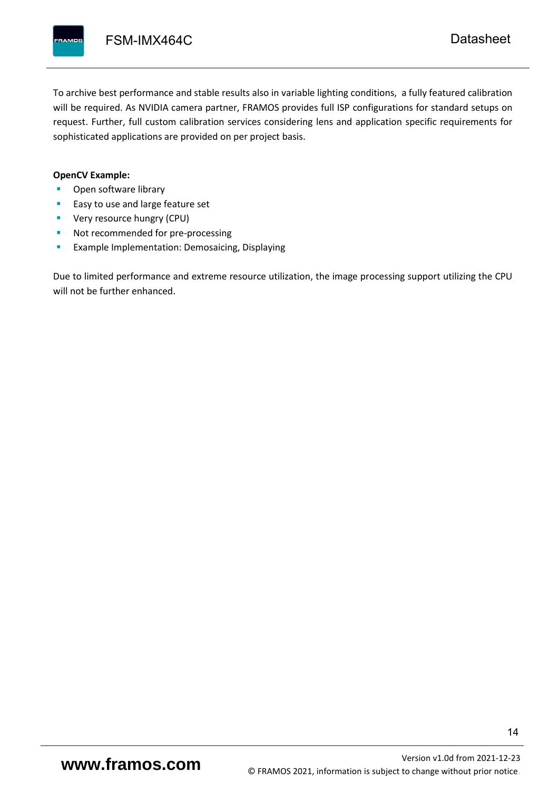To archive best performance and stable results also in variable lighting conditions, a fully featured calibration will be required. As NVIDIA camera partner, FRAMOS provides full ISP configurations for standard setups on request. Further, full custom calibration services considering lens and application specific requirements for sophisticated applications are provided on per project basis.

#### **OpenCV Example:**

- Open software library
- Easy to use and large feature set
- **•** Very resource hungry (CPU)
- Not recommended for pre-processing
- **Example Implementation: Demosaicing, Displaying**

Due to limited performance and extreme resource utilization, the image processing support utilizing the CPU will not be further enhanced.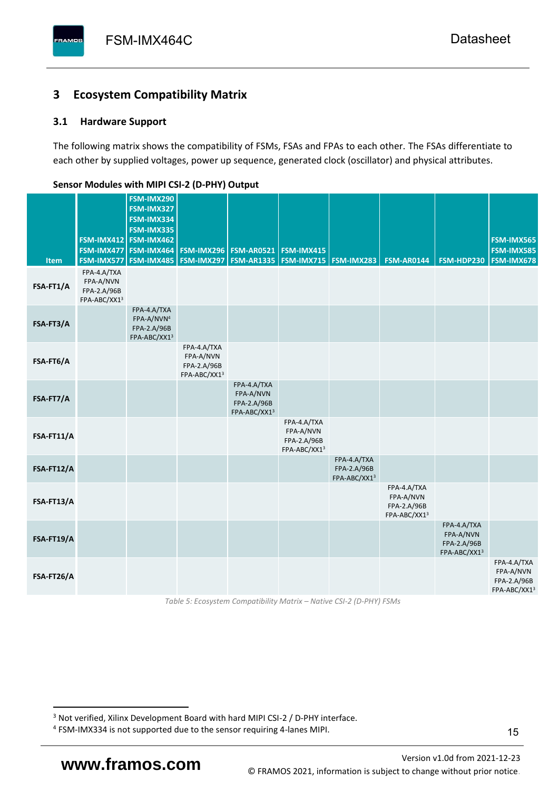# <span id="page-16-0"></span>**3 Ecosystem Compatibility Matrix**

# <span id="page-16-1"></span>**3.1 Hardware Support**

The following matrix shows the compatibility of FSMs, FSAs and FPAs to each other. The FSAs differentiate to each other by supplied voltages, power up sequence, generated clock (oscillator) and physical attributes.

| Item       | FSM-IMX577                                              | FSM-IMX290<br>FSM-IMX327<br>FSM-IMX334<br>FSM-IMX335<br>FSM-IMX412 FSM-IMX462<br>FSM-IMX477   FSM-IMX464<br><b>FSM-IMX485</b> |                                                         | <b>FSM-IMX296   FSM-AR0521</b><br><b>FSM-IMX297   FSM-AR1335  </b> | <b>FSM-IMX415</b>                                       | FSM-IMX715   FSM-IMX283                    | <b>FSM-AR0144</b>                                       | FSM-HDP230                                              | <b>FSM-IMX565</b><br><b>FSM-IMX585</b><br><b>FSM-IMX678</b> |
|------------|---------------------------------------------------------|-------------------------------------------------------------------------------------------------------------------------------|---------------------------------------------------------|--------------------------------------------------------------------|---------------------------------------------------------|--------------------------------------------|---------------------------------------------------------|---------------------------------------------------------|-------------------------------------------------------------|
| FSA-FT1/A  | FPA-4.A/TXA<br>FPA-A/NVN<br>FPA-2.A/96B<br>FPA-ABC/XX13 |                                                                                                                               |                                                         |                                                                    |                                                         |                                            |                                                         |                                                         |                                                             |
| FSA-FT3/A  |                                                         | FPA-4.A/TXA<br>FPA-A/NVN <sup>4</sup><br>FPA-2.A/96B<br>FPA-ABC/XX13                                                          |                                                         |                                                                    |                                                         |                                            |                                                         |                                                         |                                                             |
| FSA-FT6/A  |                                                         |                                                                                                                               | FPA-4.A/TXA<br>FPA-A/NVN<br>FPA-2.A/96B<br>FPA-ABC/XX13 |                                                                    |                                                         |                                            |                                                         |                                                         |                                                             |
| FSA-FT7/A  |                                                         |                                                                                                                               |                                                         | FPA-4.A/TXA<br>FPA-A/NVN<br>FPA-2.A/96B<br>FPA-ABC/XX13            |                                                         |                                            |                                                         |                                                         |                                                             |
| FSA-FT11/A |                                                         |                                                                                                                               |                                                         |                                                                    | FPA-4.A/TXA<br>FPA-A/NVN<br>FPA-2.A/96B<br>FPA-ABC/XX13 |                                            |                                                         |                                                         |                                                             |
| FSA-FT12/A |                                                         |                                                                                                                               |                                                         |                                                                    |                                                         | FPA-4.A/TXA<br>FPA-2.A/96B<br>FPA-ABC/XX13 |                                                         |                                                         |                                                             |
| FSA-FT13/A |                                                         |                                                                                                                               |                                                         |                                                                    |                                                         |                                            | FPA-4.A/TXA<br>FPA-A/NVN<br>FPA-2.A/96B<br>FPA-ABC/XX13 |                                                         |                                                             |
| FSA-FT19/A |                                                         |                                                                                                                               |                                                         |                                                                    |                                                         |                                            |                                                         | FPA-4.A/TXA<br>FPA-A/NVN<br>FPA-2.A/96B<br>FPA-ABC/XX13 |                                                             |
| FSA-FT26/A |                                                         |                                                                                                                               |                                                         |                                                                    |                                                         |                                            |                                                         |                                                         | FPA-4.A/TXA<br>FPA-A/NVN<br>FPA-2.A/96B<br>FPA-ABC/XX13     |

#### <span id="page-16-2"></span>**Sensor Modules with MIPI CSI-2 (D-PHY) Output**

*Table 5: Ecosystem Compatibility Matrix – Native CSI-2 (D-PHY) FSMs*

Version [v1.0d](#page-0-3) from 2021-12-23 **www.framos.com** © FRAMOS 2021, [information is subject to change without prior notice.](mailto:sales@framos.de)

<sup>&</sup>lt;sup>3</sup> Not verified, Xilinx Development Board with hard MIPI CSI-2 / D-PHY interface.

<sup>4</sup> FSM-IMX334 is not supported due to the sensor requiring 4-lanes MIPI.